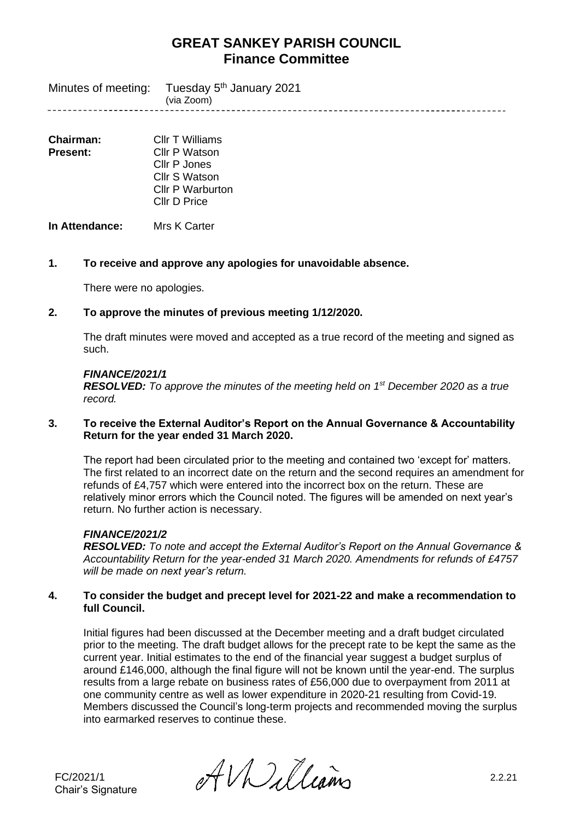Tuesday 5<sup>th</sup> January 2021 Minutes of meeting: (via Zoom) 

| <b>Chairman:</b> | Cllr T Williams         |
|------------------|-------------------------|
| Present:         | Cllr P Watson           |
|                  | Cllr P Jones            |
|                  | Cllr S Watson           |
|                  | <b>Cllr P Warburton</b> |
|                  | Cllr D Price            |
|                  |                         |

**In Attendance:** Mrs K Carter

## **1. To receive and approve any apologies for unavoidable absence.**

There were no apologies.

## **2. To approve the minutes of previous meeting 1/12/2020.**

The draft minutes were moved and accepted as a true record of the meeting and signed as such.

#### *FINANCE/2021/1*

*RESOLVED: To approve the minutes of the meeting held on 1 st December 2020 as a true record.*

#### **3. To receive the External Auditor's Report on the Annual Governance & Accountability Return for the year ended 31 March 2020.**

The report had been circulated prior to the meeting and contained two 'except for' matters. The first related to an incorrect date on the return and the second requires an amendment for refunds of £4,757 which were entered into the incorrect box on the return. These are relatively minor errors which the Council noted. The figures will be amended on next year's return. No further action is necessary.

## *FINANCE/2021/2*

*RESOLVED: To note and accept the External Auditor's Report on the Annual Governance & Accountability Return for the year-ended 31 March 2020. Amendments for refunds of £4757 will be made on next year's return.*

## **4. To consider the budget and precept level for 2021-22 and make a recommendation to full Council.**

Initial figures had been discussed at the December meeting and a draft budget circulated prior to the meeting. The draft budget allows for the precept rate to be kept the same as the current year. Initial estimates to the end of the financial year suggest a budget surplus of around £146,000, although the final figure will not be known until the year-end. The surplus results from a large rebate on business rates of £56,000 due to overpayment from 2011 at one community centre as well as lower expenditure in 2020-21 resulting from Covid-19. Members discussed the Council's long-term projects and recommended moving the surplus into earmarked reserves to continue these.

FC/2021/1  $\partial f$ *V* $\partial u$ *Lleams* 2.2.21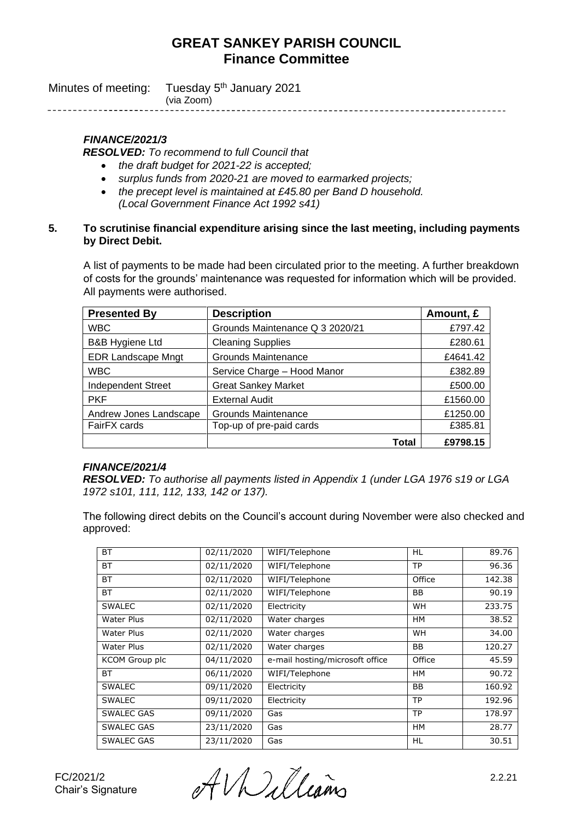| Minutes of meeting: Tuesday 5 <sup>th</sup> January 2021 |
|----------------------------------------------------------|
| (via Zoom)                                               |

# *FINANCE/2021/3*

*RESOLVED: To recommend to full Council that*

- *the draft budget for 2021-22 is accepted;*
- *surplus funds from 2020-21 are moved to earmarked projects;*
- *the precept level is maintained at £45.80 per Band D household. (Local Government Finance Act 1992 s41)*

#### **5. To scrutinise financial expenditure arising since the last meeting, including payments by Direct Debit.**

A list of payments to be made had been circulated prior to the meeting. A further breakdown of costs for the grounds' maintenance was requested for information which will be provided. All payments were authorised.

| <b>Presented By</b>        | <b>Description</b>              | Amount, £ |
|----------------------------|---------------------------------|-----------|
| <b>WBC</b>                 | Grounds Maintenance Q 3 2020/21 | £797.42   |
| <b>B&amp;B Hygiene Ltd</b> | <b>Cleaning Supplies</b>        | £280.61   |
| <b>EDR Landscape Mngt</b>  | Grounds Maintenance             | £4641.42  |
| <b>WBC</b>                 | Service Charge - Hood Manor     | £382.89   |
| Independent Street         | <b>Great Sankey Market</b>      | £500.00   |
| <b>PKF</b>                 | <b>External Audit</b>           | £1560.00  |
| Andrew Jones Landscape     | <b>Grounds Maintenance</b>      | £1250.00  |
| FairFX cards               | Top-up of pre-paid cards        | £385.81   |
|                            | Total                           | £9798.15  |

## *FINANCE/2021/4*

*RESOLVED: To authorise all payments listed in Appendix 1 (under LGA 1976 s19 or LGA 1972 s101, 111, 112, 133, 142 or 137).* 

The following direct debits on the Council's account during November were also checked and approved:

| <b>BT</b>             | 02/11/2020 | WIFI/Telephone                  | HL        | 89.76  |
|-----------------------|------------|---------------------------------|-----------|--------|
| <b>BT</b>             | 02/11/2020 | WIFI/Telephone                  | <b>TP</b> | 96.36  |
| <b>BT</b>             | 02/11/2020 | WIFI/Telephone                  | Office    | 142.38 |
| <b>BT</b>             | 02/11/2020 | WIFI/Telephone                  | BB        | 90.19  |
| <b>SWALEC</b>         | 02/11/2020 | Electricity                     | <b>WH</b> | 233.75 |
| Water Plus            | 02/11/2020 | Water charges                   | <b>HM</b> | 38.52  |
| Water Plus            | 02/11/2020 | Water charges                   | <b>WH</b> | 34.00  |
| Water Plus            | 02/11/2020 | Water charges                   | BB        | 120.27 |
| <b>KCOM Group plc</b> | 04/11/2020 | e-mail hosting/microsoft office | Office    | 45.59  |
| <b>BT</b>             | 06/11/2020 | WIFI/Telephone                  | <b>HM</b> | 90.72  |
| <b>SWALEC</b>         | 09/11/2020 | Electricity                     | <b>BB</b> | 160.92 |
| <b>SWALEC</b>         | 09/11/2020 | Electricity                     | <b>TP</b> | 192.96 |
| <b>SWALEC GAS</b>     | 09/11/2020 | Gas                             | <b>TP</b> | 178.97 |
| <b>SWALEC GAS</b>     | 23/11/2020 | Gas                             | <b>HM</b> | 28.77  |
| <b>SWALEC GAS</b>     | 23/11/2020 | Gas                             | HL        | 30.51  |

FC/2021/2 2.2.21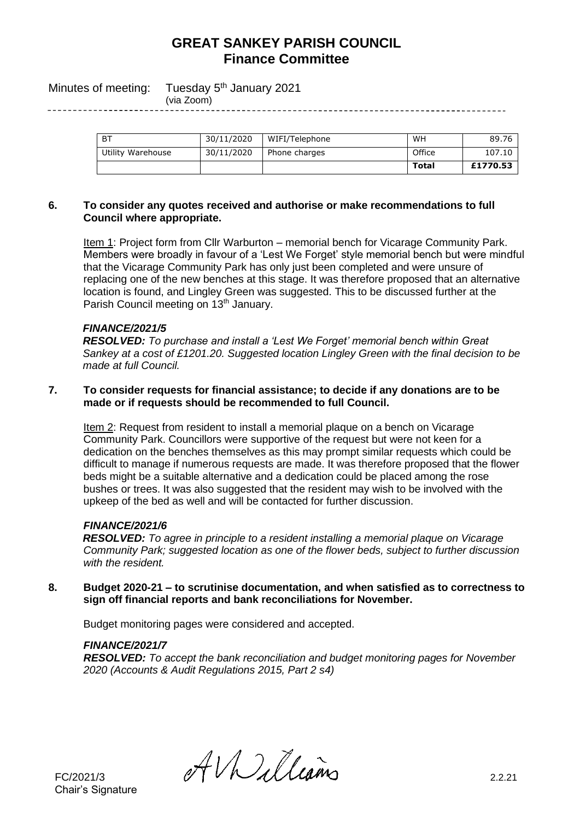Minutes of meeting: Tuesday 5<sup>th</sup> January 2021

(via Zoom) 

| <b>BT</b>         | 30/11/2020 | WIFI/Telephone | WH     | 89.76    |
|-------------------|------------|----------------|--------|----------|
| Utility Warehouse | 30/11/2020 | Phone charges  | Office | 107.10   |
|                   |            |                | Total  | £1770.53 |

#### **6. To consider any quotes received and authorise or make recommendations to full Council where appropriate.**

Item 1: Project form from Cllr Warburton – memorial bench for Vicarage Community Park. Members were broadly in favour of a 'Lest We Forget' style memorial bench but were mindful that the Vicarage Community Park has only just been completed and were unsure of replacing one of the new benches at this stage. It was therefore proposed that an alternative location is found, and Lingley Green was suggested. This to be discussed further at the Parish Council meeting on 13<sup>th</sup> January.

## *FINANCE/2021/5*

*RESOLVED: To purchase and install a 'Lest We Forget' memorial bench within Great Sankey at a cost of £1201.20. Suggested location Lingley Green with the final decision to be made at full Council.*

#### **7. To consider requests for financial assistance; to decide if any donations are to be made or if requests should be recommended to full Council.**

Item 2: Request from resident to install a memorial plaque on a bench on Vicarage Community Park. Councillors were supportive of the request but were not keen for a dedication on the benches themselves as this may prompt similar requests which could be difficult to manage if numerous requests are made. It was therefore proposed that the flower beds might be a suitable alternative and a dedication could be placed among the rose bushes or trees. It was also suggested that the resident may wish to be involved with the upkeep of the bed as well and will be contacted for further discussion.

## *FINANCE/2021/6*

*RESOLVED: To agree in principle to a resident installing a memorial plaque on Vicarage Community Park; suggested location as one of the flower beds, subject to further discussion with the resident.*

**8. Budget 2020-21 – to scrutinise documentation, and when satisfied as to correctness to sign off financial reports and bank reconciliations for November.**

Budget monitoring pages were considered and accepted.

## *FINANCE/2021/7*

*RESOLVED: To accept the bank reconciliation and budget monitoring pages for November 2020 (Accounts & Audit Regulations 2015, Part 2 s4)*

Chair's Signature

 $HMLUains$